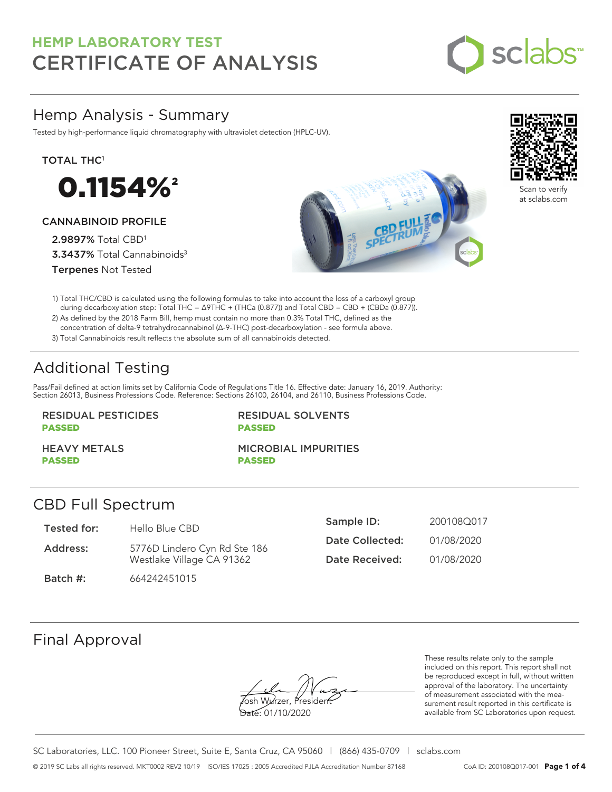

# Hemp Analysis - Summary

Tested by high-performance liquid chromatography with ultraviolet detection (HPLC-UV).

TOTAL THC<sup>1</sup>



### CANNABINOID PROFILE

2.9897% Total CBD<sup>1</sup> 3.3437% Total Cannabinoids<sup>3</sup> Terpenes Not Tested





Scan to verify at sclabs.com

1) Total THC/CBD is calculated using the following formulas to take into account the loss of a carboxyl group during decarboxylation step: Total THC = ∆9THC + (THCa (0.877)) and Total CBD = CBD + (CBDa (0.877)).

2) As defined by the 2018 Farm Bill, hemp must contain no more than 0.3% Total THC, defined as the concentration of delta-9 tetrahydrocannabinol (Δ-9-THC) post-decarboxylation - see formula above.

3) Total Cannabinoids result reflects the absolute sum of all cannabinoids detected.

# Additional Testing

Pass/Fail defined at action limits set by California Code of Regulations Title 16. Effective date: January 16, 2019. Authority: Section 26013, Business Professions Code. Reference: Sections 26100, 26104, and 26110, Business Professions Code.

### RESIDUAL PESTICIDES PASSED

RESIDUAL SOLVENTS PASSED

HEAVY METALS PASSED

MICROBIAL IMPURITIES PASSED

### CBD Full Spectrum

| Tested for: | Hello Blue CBD               | Sample ID:      | 200108Q017 |
|-------------|------------------------------|-----------------|------------|
| Address:    | 5776D Lindero Cyn Rd Ste 186 | Date Collected: | 01/08/2020 |
|             | Westlake Village CA 91362    | Date Received:  | 01/08/2020 |
| Batch #:    | 664242451015                 |                 |            |

# Final Approval

osh Wurzer, Presider

Date: 01/10/2020

These results relate only to the sample included on this report. This report shall not be reproduced except in full, without written approval of the laboratory. The uncertainty of measurement associated with the measurement result reported in this certificate is available from SC Laboratories upon request.

SC Laboratories, LLC. 100 Pioneer Street, Suite E, Santa Cruz, CA 95060 | (866) 435-0709 | sclabs.com © 2019 SC Labs all rights reserved. MKT0002 REV2 10/19 ISO/IES 17025 : 2005 Accredited PJLA Accreditation Number 87168 CoA ID: 200108Q017-001 **Page 1 of 4**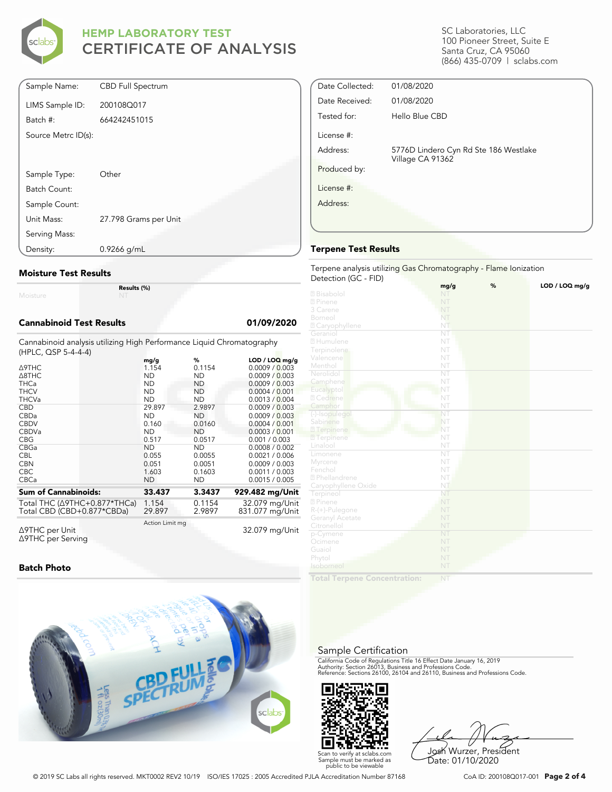

| Sample Name:        | <b>CBD Full Spectrum</b> |
|---------------------|--------------------------|
| LIMS Sample ID:     | 200108Q017               |
| Batch #:            | 664242451015             |
| Source Metrc ID(s): |                          |
|                     |                          |
| Sample Type:        | Other                    |
| Batch Count:        |                          |
| Sample Count:       |                          |
| Unit Mass:          | 27.798 Grams per Unit    |
| Serving Mass:       |                          |
| Density:            | $0.9266$ g/mL            |

#### **Moisture Test Results**

Moisture

**Results (%)**

#### **Cannabinoid Test Results 01/09/2020**

Cannabinoid analysis utilizing High Performance Liquid Chromatography (HPLC, QSP 5-4-4-4)

| , _ . <u>.</u>                                             |                 |                  |                                    |
|------------------------------------------------------------|-----------------|------------------|------------------------------------|
| $\triangle$ 9THC                                           | mg/g<br>1.154   | %<br>0.1154      | $LOD / LOQ$ mg/g<br>0.0009 / 0.003 |
| $\triangle$ 8THC                                           | <b>ND</b>       | <b>ND</b>        | 0.0009 / 0.003                     |
| <b>THCa</b>                                                | <b>ND</b>       | ND.              | 0.0009 / 0.003                     |
| <b>THCV</b>                                                | <b>ND</b>       | ND               | 0.0004 / 0.001                     |
| <b>THCVa</b>                                               | <b>ND</b>       | <b>ND</b>        | 0.0013 / 0.004                     |
| <b>CBD</b>                                                 | 29.897          | 2.9897           | 0.0009 / 0.003                     |
| CBDa                                                       | <b>ND</b>       | ND               | 0.0009 / 0.003                     |
| <b>CBDV</b>                                                | 0.160           | 0.0160           | 0.0004 / 0.001                     |
| <b>CBDVa</b>                                               | <b>ND</b>       | <b>ND</b>        | 0.0003 / 0.001                     |
| <b>CBG</b>                                                 | 0.517           | 0.0517           | 0.001 / 0.003                      |
| <b>CBGa</b>                                                | <b>ND</b>       | <b>ND</b>        | 0.0008 / 0.002                     |
| <b>CBL</b>                                                 | 0.055           | 0.0055           | 0.0021 / 0.006                     |
| <b>CBN</b>                                                 | 0.051           | 0.0051           | 0.0009 / 0.003                     |
| <b>CBC</b>                                                 | 1.603           | 0.1603           | 0.0011 / 0.003                     |
| <b>CBCa</b>                                                | <b>ND</b>       | ND               | 0.0015 / 0.005                     |
| <b>Sum of Cannabinoids:</b>                                | 33.437          | 3.3437           | 929.482 mg/Unit                    |
| Total THC (∆9THC+0.877*THCa)<br>Total CBD (CBD+0.877*CBDa) | 1.154<br>29.897 | 0.1154<br>2.9897 | 32.079 mg/Unit<br>831.077 mg/Unit  |
| $\triangle$ 9THC per Unit                                  | Action Limit mg |                  | 32.079 mg/Unit                     |

Δ9THC per Unit Δ9THC per Serving

#### **Batch Photo**



SC Laboratories, LLC 100 Pioneer Street, Suite E Santa Cruz, CA 95060 (866) 435-0709 | sclabs.com

| Date Collected: | 01/08/2020                                                |  |
|-----------------|-----------------------------------------------------------|--|
| Date Received:  | 01/08/2020                                                |  |
| Tested for:     | Hello Blue CBD                                            |  |
| License #:      |                                                           |  |
| Address:        | 5776D Lindero Cyn Rd Ste 186 Westlake<br>Village CA 91362 |  |
| Produced by:    |                                                           |  |
| License #:      |                                                           |  |
| Address:        |                                                           |  |
|                 |                                                           |  |
|                 |                                                           |  |

#### **Terpene Test Results**

#### Terpene analysis utilizing Gas Chromatography - Flame Ionization Detection (GC - FID)

|                           | mg/g                   | $\%$ | LOD / LOQ mg/g |
|---------------------------|------------------------|------|----------------|
| 2 Bisabolol               | NT                     |      |                |
| 2 Pinene                  | NT                     |      |                |
| 3 Carene                  | NT                     |      |                |
| Borneol                   | NT                     |      |                |
| 2 Caryophyllene           | NT                     |      |                |
| Geraniol                  | $\overline{\text{NT}}$ |      |                |
| 2 Humulene                | NT                     |      |                |
| Terpinolene               | NT                     |      |                |
| Valencene                 | NT                     |      |                |
| Menthol                   | NT                     |      |                |
| Nerolidol                 | $\overline{\text{NT}}$ |      |                |
| Camphene                  | NT                     |      |                |
| Eucalyptol                | NT                     |      |                |
| <b>Z</b> Cedrene          | NT                     |      |                |
| Camphor                   | NT                     |      |                |
| (-)-Isopulegol            | NT                     |      |                |
| Sabinene                  | NT                     |      |                |
| 2 Terpinene               | NT                     |      |                |
| <b>7</b> Terpinene        | NT                     |      |                |
| Linalool                  | NT                     |      |                |
| Limonene                  | NT                     |      |                |
| Myrcene                   | NT                     |      |                |
| Fenchol                   | NT                     |      |                |
| <sup>2</sup> Phellandrene | NT                     |      |                |
| Caryophyllene Oxide       | NT                     |      |                |
| Terpineol                 | NT                     |      |                |
| 2 Pinene                  | NT                     |      |                |
| R-(+)-Pulegone            | NT                     |      |                |
| Geranyl Acetate           | NT                     |      |                |
| Citronellol               | NT                     |      |                |
| p-Cymene                  | NT                     |      |                |
| Ocimene                   | NT                     |      |                |
| Guaiol                    | NT                     |      |                |
| Phytol                    | NT                     |      |                |
| Isoborneol                | NT                     |      |                |
|                           |                        |      |                |

**Total Terpene Concentration:**

#### Sample Certification

California Code of Regulations Title 16 Effect Date January 16, 2019<br>Authority: Section 26013, Business and Professions Code.<br>Reference: Sections 26100, 26104 and 26110, Business and Professions Code.



Josh Wurzer, President Date: 01/10/2020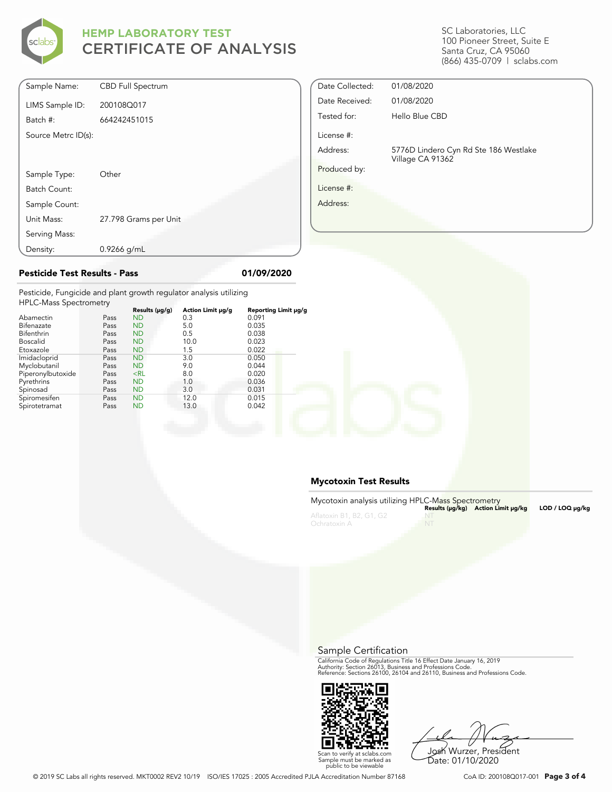

SC Laboratories, LLC 100 Pioneer Street, Suite E Santa Cruz, CA 95060 (866) 435-0709 | sclabs.com

| Sample Name:        | <b>CBD Full Spectrum</b> |
|---------------------|--------------------------|
| LIMS Sample ID:     | 200108Q017               |
| Batch #:            | 664242451015             |
| Source Metrc ID(s): |                          |
|                     |                          |
|                     |                          |
| Sample Type:        | Other                    |
| Batch Count:        |                          |
| Sample Count:       |                          |
| Unit Mass:          | 27.798 Grams per Unit    |
| Serving Mass:       |                          |
| Density:            | $0.9266$ g/mL            |

## Date Collected: 01/08/2020 Date Received: 01/08/2020 Tested for: Hello Blue CBD License #: Address: 5776D Lindero Cyn Rd Ste 186 Westlake Village CA 91362 Produced by: License #: Address:

Pesticide, Fungicide and plant growth regulator analysis utilizing  $H$ PLC-Mass  $\Gamma$ 

| <b>HPLC-Mass Spectrometry</b> |      |                     |                   |                      |  |
|-------------------------------|------|---------------------|-------------------|----------------------|--|
|                               |      | Results $(\mu g/g)$ | Action Limit µg/g | Reporting Limit µg/g |  |
| Abamectin                     | Pass | <b>ND</b>           | 0.3               | 0.091                |  |
| Bifenazate                    | Pass | <b>ND</b>           | 5.0               | 0.035                |  |
| Bifenthrin                    | Pass | <b>ND</b>           | 0.5               | 0.038                |  |
| <b>Boscalid</b>               | Pass | <b>ND</b>           | 10.0              | 0.023                |  |
| Etoxazole                     | Pass | <b>ND</b>           | 1.5               | 0.022                |  |
| Imidacloprid                  | Pass | <b>ND</b>           | 3.0               | 0.050                |  |
| Myclobutanil                  | Pass | <b>ND</b>           | 9.0               | 0.044                |  |
| Piperonylbutoxide             | Pass | $<$ RL              | 8.0               | 0.020                |  |
| Pyrethrins                    | Pass | <b>ND</b>           | 1.0               | 0.036                |  |
| Spinosad                      | Pass | <b>ND</b>           | 3.0               | 0.031                |  |
| Spiromesifen                  | Pass | <b>ND</b>           | 12.0              | 0.015                |  |
| Spirotetramat                 | Pass | <b>ND</b>           | 13.0              | 0.042                |  |
|                               |      |                     |                   |                      |  |

**Pesticide Test Results - Pass 01/09/2020**

#### **Mycotoxin Test Results**

| Mycotoxin analysis utilizing HPLC-Mass Spectrometry |           |                                    |                      |
|-----------------------------------------------------|-----------|------------------------------------|----------------------|
|                                                     |           | Results (µq/kq) Action Limit µq/kq | $LOD / LOQ \mu q/kg$ |
| Aflatoxin B1, B2, G1, G2                            |           |                                    |                      |
| Ochratoxin A                                        | <b>NT</b> |                                    |                      |

Sample Certification

California Code of Regulations Title 16 Effect Date January 16, 2019<br>Authority: Section 26013, Business and Professions Code.<br>Reference: Sections 26100, 26104 and 26110, Business and Professions Code.



Josh Wurzer, President Date: 01/10/2020

© 2019 SC Labs all rights reserved. MKT0002 REV2 10/19 ISO/IES 17025 : 2005 Accredited PJLA Accreditation Number 87168 CoA ID: 200108Q017-001 **Page 3 of 4**